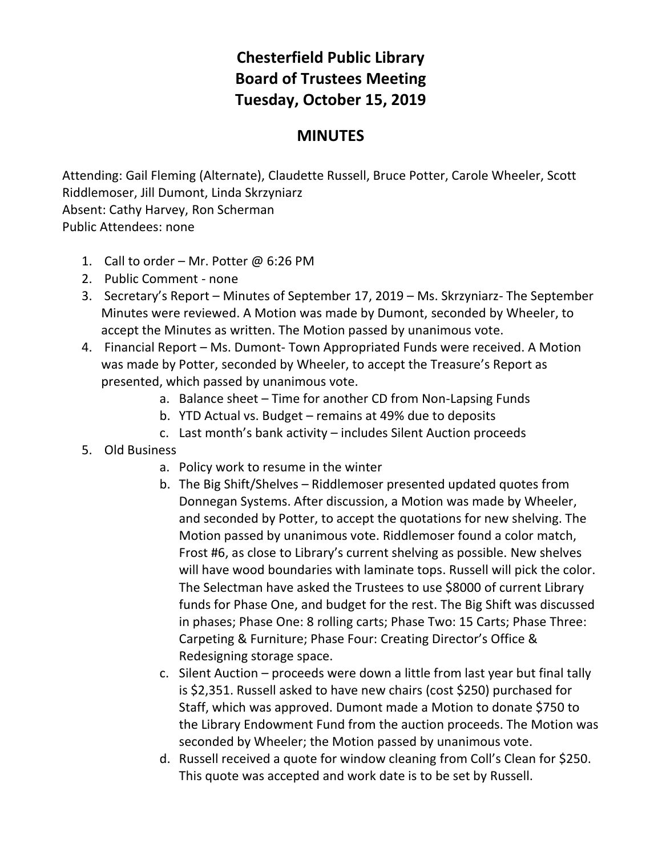## **Chesterfield Public Library Board of Trustees Meeting Tuesday, October 15, 2019**

## **MINUTES**

Attending: Gail Fleming (Alternate), Claudette Russell, Bruce Potter, Carole Wheeler, Scott Riddlemoser, Jill Dumont, Linda Skrzyniarz Absent: Cathy Harvey, Ron Scherman Public Attendees: none

- 1. Call to order Mr. Potter @ 6:26 PM
- 2. Public Comment none
- 3. Secretary's Report Minutes of September 17, 2019 Ms. Skrzyniarz- The September Minutes were reviewed. A Motion was made by Dumont, seconded by Wheeler, to accept the Minutes as written. The Motion passed by unanimous vote.
- 4. Financial Report Ms. Dumont- Town Appropriated Funds were received. A Motion was made by Potter, seconded by Wheeler, to accept the Treasure's Report as presented, which passed by unanimous vote.
	- a. Balance sheet Time for another CD from Non-Lapsing Funds
	- b. YTD Actual vs. Budget remains at 49% due to deposits
	- c. Last month's bank activity includes Silent Auction proceeds
- 5. Old Business
	- a. Policy work to resume in the winter
	- b. The Big Shift/Shelves Riddlemoser presented updated quotes from Donnegan Systems. After discussion, a Motion was made by Wheeler, and seconded by Potter, to accept the quotations for new shelving. The Motion passed by unanimous vote. Riddlemoser found a color match, Frost #6, as close to Library's current shelving as possible. New shelves will have wood boundaries with laminate tops. Russell will pick the color. The Selectman have asked the Trustees to use \$8000 of current Library funds for Phase One, and budget for the rest. The Big Shift was discussed in phases; Phase One: 8 rolling carts; Phase Two: 15 Carts; Phase Three: Carpeting & Furniture; Phase Four: Creating Director's Office & Redesigning storage space.
	- c. Silent Auction proceeds were down a little from last year but final tally is \$2,351. Russell asked to have new chairs (cost \$250) purchased for Staff, which was approved. Dumont made a Motion to donate \$750 to the Library Endowment Fund from the auction proceeds. The Motion was seconded by Wheeler; the Motion passed by unanimous vote.
	- d. Russell received a quote for window cleaning from Coll's Clean for \$250. This quote was accepted and work date is to be set by Russell.